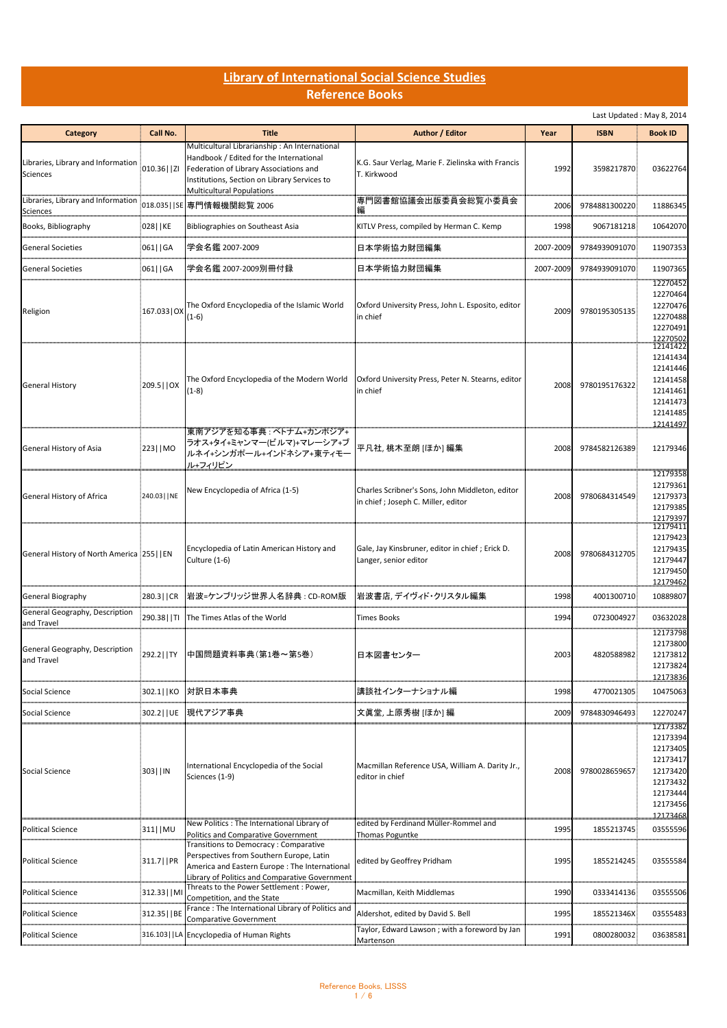## **Library of International Social Science Studies Reference Books**

Last Updated : May 8, 2014

| <b>Category</b>                                       | Call No.         | <b>Title</b>                                                                                                                                                                                                    | Author / Editor                                                                       | Year      | <b>ISBN</b>   | <b>Book ID</b>                                                                                           |
|-------------------------------------------------------|------------------|-----------------------------------------------------------------------------------------------------------------------------------------------------------------------------------------------------------------|---------------------------------------------------------------------------------------|-----------|---------------|----------------------------------------------------------------------------------------------------------|
| Libraries, Library and Information<br><b>Sciences</b> | $.010.36$     ZI | Multicultural Librarianship: An International<br>Handbook / Edited for the International<br>Federation of Library Associations and<br>Institutions, Section on Library Services to<br>Multicultural Populations | K.G. Saur Verlag, Marie F. Zielinska with Francis<br>T. Kirkwood                      | 1992      | 3598217870.   | 03622764                                                                                                 |
| Libraries, Library and Information<br>Sciences        | 018.035   SE     | 専門情報機関総覧 2006                                                                                                                                                                                                   | 専門図書館協議会出版委員会総覧小委員会                                                                   | 2006      | 9784881300220 | 11886345                                                                                                 |
| Books, Bibliography                                   | 028   KE         | Bibliographies on Southeast Asia                                                                                                                                                                                | KITLV Press, compiled by Herman C. Kemp                                               | 1998      | 9067181218    | 10642070                                                                                                 |
| General Societies                                     | 061  GA          | 学会名鑑 2007-2009                                                                                                                                                                                                  | 日本学術協力財団編集                                                                            | 2007-2009 | 9784939091070 | 11907353                                                                                                 |
| <b>General Societies</b>                              | 061   GA         | 学会名鑑 2007-2009別冊付録                                                                                                                                                                                              | 日本学術協力財団編集                                                                            | 2007-2009 | 9784939091070 | 11907365                                                                                                 |
| Religion                                              | 167.033   OX     | The Oxford Encyclopedia of the Islamic World<br>$(1-6)$                                                                                                                                                         | Oxford University Press, John L. Esposito, editor<br>in chief                         | 2009      | 9780195305135 | 12270452<br>12270464<br>12270476<br>12270488<br>12270491<br>12270502                                     |
| <b>General History</b>                                | 209.5     OX     | The Oxford Encyclopedia of the Modern World<br>$(1-8)$                                                                                                                                                          | Oxford University Press, Peter N. Stearns, editor<br>in chief                         | 2008      | 9780195176322 | 12141422<br>12141434<br>12141446<br>12141458<br>12141461<br>12141473<br>12141485<br>12141497             |
| General History of Asia                               | 223   MO         | 東南アジアを知る事典 : ベトナム+カンボジア+<br>ラオス+タイ+ミャンマー(ビルマ)+マレーシア+ブ<br>ルネイ+シンガポール+インドネシア+東ティモー<br>ル+フィリピン                                                                                                                     | 平凡社, 桃木至朗 [ほか] 編集                                                                     | 2008      | 9784582126389 | 12179346                                                                                                 |
| General History of Africa                             | 240.03     NE    | New Encyclopedia of Africa (1-5)                                                                                                                                                                                | Charles Scribner's Sons, John Middleton, editor<br>in chief; Joseph C. Miller, editor | 2008      | 9780684314549 | 12179358<br>12179361<br>12179373<br>12179385<br>12179397                                                 |
| General History of North America [255]   EN           |                  | Encyclopedia of Latin American History and<br>Culture (1-6)                                                                                                                                                     | Gale, Jay Kinsbruner, editor in chief; Erick D.<br>Langer, senior editor              | 2008      | 9780684312705 | 12179411<br>12179423<br>12179435<br>12179447<br>12179450<br>12179462                                     |
| General Biography                                     | 280.3   CR       | 岩波=ケンブリッジ世界人名辞典 : CD-ROM版                                                                                                                                                                                       | 岩波書店, デイヴィド・クリスタル編集                                                                   | 1998      | 4001300710    | 10889807                                                                                                 |
| General Geography, Description<br>and Travel          | 290.38     TI    | The Times Atlas of the World                                                                                                                                                                                    | <b>Times Books</b>                                                                    | 1994      | 0723004927    | 03632028                                                                                                 |
| General Geography, Description<br>and Travel          | 292.2     TY     | 中国問題資料事典(第1巻~第5巻)                                                                                                                                                                                               | 日本図書センター                                                                              | 2003      | 4820588982    | 12173798<br>12173800<br>12173812<br>12173824<br>12173836                                                 |
| Social Science                                        | 302.1  KO        | 対訳日本事典                                                                                                                                                                                                          | 講談社インターナショナル編                                                                         | 1998      | 4770021305    | 10475063                                                                                                 |
| Social Science                                        | 302.2     UE     | 現代アジア事典                                                                                                                                                                                                         | 文眞堂, 上原秀樹 [ほか] 編                                                                      | 2009      | 9784830946493 | 12270247                                                                                                 |
| Social Science                                        | 303     IN       | International Encyclopedia of the Social<br>Sciences (1-9)                                                                                                                                                      | Macmillan Reference USA, William A. Darity Jr.,<br>editor in chief                    | 2008      | 9780028659657 | 12173382<br>12173394<br>12173405<br>12173417<br>12173420<br>12173432<br>12173444<br>12173456<br>12173468 |
| <b>Political Science</b>                              | 311   MU         | New Politics: The International Library of<br>Politics and Comparative Government                                                                                                                               | edited by Ferdinand Müller-Rommel and<br><b>Thomas Poguntke</b>                       | 1995      | 1855213745    | 03555596                                                                                                 |
| <b>Political Science</b>                              | 311.7   PR       | Transitions to Democracy: Comparative<br>Perspectives from Southern Europe, Latin<br>America and Eastern Europe: The International<br>Library of Politics and Comparative Government                            | edited by Geoffrey Pridham                                                            | 1995      | 1855214245    | 03555584                                                                                                 |
| <b>Political Science</b>                              | 312.33     M     | Threats to the Power Settlement : Power,<br>Competition, and the State                                                                                                                                          | Macmillan, Keith Middlemas                                                            | 1990      | 0333414136    | 03555506                                                                                                 |
| Political Science                                     | 312.35     BE    | France: The International Library of Politics and<br>Comparative Government                                                                                                                                     | Aldershot, edited by David S. Bell                                                    | 1995      | 185521346X    | 03555483                                                                                                 |
| <b>Political Science</b>                              | 316.103   LA     | <b>Encyclopedia of Human Rights</b>                                                                                                                                                                             | Taylor, Edward Lawson; with a foreword by Jan<br>Martenson                            | 1991      | 0800280032    | 03638581                                                                                                 |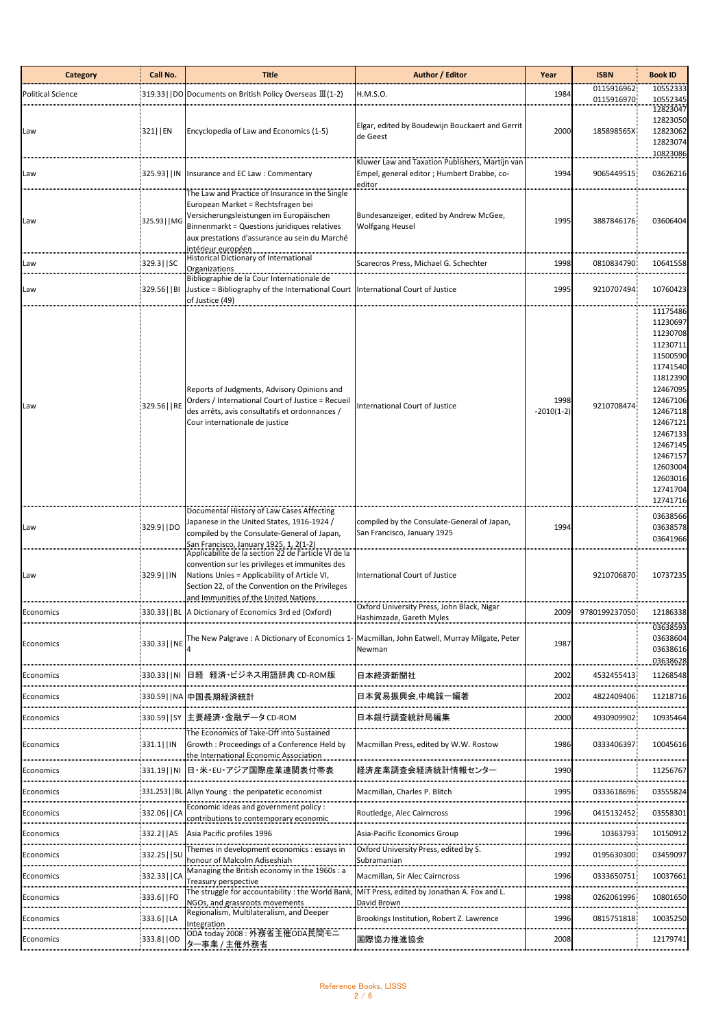| <b>Category</b>          | Call No.       | <b>Title</b>                                                                                                                                                                                                                                                   | Author / Editor                                                                                          | Year                 | <b>ISBN</b>              | <b>Book ID</b>                                                                                                                                                                                                       |
|--------------------------|----------------|----------------------------------------------------------------------------------------------------------------------------------------------------------------------------------------------------------------------------------------------------------------|----------------------------------------------------------------------------------------------------------|----------------------|--------------------------|----------------------------------------------------------------------------------------------------------------------------------------------------------------------------------------------------------------------|
| <b>Political Science</b> |                | 319.33     DO   Documents on British Policy Overseas III (1-2)                                                                                                                                                                                                 | H.M.S.O.                                                                                                 | 1984                 | 0115916962<br>0115916970 | 10552333<br>10552345                                                                                                                                                                                                 |
| Law                      | 321   EN       | Encyclopedia of Law and Economics (1-5)                                                                                                                                                                                                                        | Elgar, edited by Boudewijn Bouckaert and Gerrit<br>de Geest                                              | 2000                 | 185898565X               | 12823047<br>12823050<br>12823062<br>12823074<br>10823086                                                                                                                                                             |
| Law                      | 325.93     IN  | Insurance and EC Law: Commentary                                                                                                                                                                                                                               | Kluwer Law and Taxation Publishers, Martijn van<br>Empel, general editor ; Humbert Drabbe, co-<br>editor | 1994                 | 9065449515               | 03626216                                                                                                                                                                                                             |
| Law                      | 325.93   MG    | The Law and Practice of Insurance in the Single<br>European Market = Rechtsfragen bei<br>Versicherungsleistungen im Europäischen<br>Binnenmarkt = Questions juridiques relatives<br>aux prestations d'assurance au sein du Marché<br><u>intérieur européen</u> | Bundesanzeiger, edited by Andrew McGee,<br><b>Wolfgang Heusel</b>                                        | 1995                 | 3887846176               | 03606404                                                                                                                                                                                                             |
| Law                      | 329.3   SC     | Historical Dictionary of International<br>Organizations                                                                                                                                                                                                        | Scarecros Press, Michael G. Schechter                                                                    | 1998                 | 0810834790               | 10641558                                                                                                                                                                                                             |
| Law                      | 329.56     BI  | Bibliographie de la Cour Internationale de<br>Justice = Bibliography of the International Court   International Court of Justice<br>of Justice (49)                                                                                                            |                                                                                                          | 1995                 | 9210707494               | 10760423                                                                                                                                                                                                             |
| Law                      | 329.56     RE  | Reports of Judgments, Advisory Opinions and<br>Orders / International Court of Justice = Recueil<br>des arrêts, avis consultatifs et ordonnances /<br>Cour internationale de justice                                                                           | <b>International Court of Justice</b>                                                                    | 1998<br>$-2010(1-2)$ | 9210708474               | 11175486<br>11230697<br>11230708<br>11230711<br>11500590<br>11741540<br>11812390<br>12467095<br>12467106<br>12467118<br>12467121<br>12467133<br>12467145<br>12467157<br>12603004<br>12603016<br>12741704<br>12741716 |
| Law                      | 329.9   DO     | Documental History of Law Cases Affecting<br>Japanese in the United States, 1916-1924 /<br>compiled by the Consulate-General of Japan,<br>San Francisco, January 1925, 1, 2(1-2)                                                                               | compiled by the Consulate-General of Japan,<br>San Francisco, January 1925                               | 1994                 |                          | 03638566<br>03638578<br>03641966                                                                                                                                                                                     |
| Law                      | 329.9   IN     | Applicabilite de la section 22 de l'article VI de la<br>convention sur les privileges et immunites des<br>Nations Unies = Applicability of Article VI,<br>Section 22, of the Convention on the Privileges<br>and Immunities of the United Nations              | International Court of Justice                                                                           |                      | 9210706870               | 10737235                                                                                                                                                                                                             |
| Economics                |                | 330.33     BL   A Dictionary of Economics 3rd ed (Oxford)                                                                                                                                                                                                      | Oxford University Press, John Black, Nigar<br>Hashimzade, Gareth Myles                                   | 2009                 | 9780199237050            | 12186338                                                                                                                                                                                                             |
| Economics                | 330.33     NE  | The New Palgrave: A Dictionary of Economics 1-                                                                                                                                                                                                                 | Macmillan, John Eatwell, Murray Milgate, Peter<br>Newman                                                 | 1987                 |                          | 03638593<br>03638604<br>03638616<br>03638628                                                                                                                                                                         |
| Economics                | 330.33     NI  | 日経 経済・ビジネス用語辞典 CD-ROM版                                                                                                                                                                                                                                         | 日本経済新聞社                                                                                                  | 2002                 | 4532455413               | 11268548                                                                                                                                                                                                             |
| Economics                | 330.59   NA    | 中国長期経済統計                                                                                                                                                                                                                                                       | 日本貿易振興会,中嶋誠一編著                                                                                           | 2002                 | 4822409406               | 11218716                                                                                                                                                                                                             |
| Economics                | 330.59   SY    | 主要経済・金融データCD-ROM                                                                                                                                                                                                                                               | 日本銀行調査統計局編集                                                                                              | 2000                 | 4930909902               | 10935464                                                                                                                                                                                                             |
| Economics                | 331.1   IN     | The Economics of Take-Off into Sustained<br>Growth: Proceedings of a Conference Held by<br>the International Economic Association                                                                                                                              | Macmillan Press, edited by W.W. Rostow                                                                   | 1986                 | 0333406397               | 10045616                                                                                                                                                                                                             |
| Economics                | 331.19   NI    | 日·米·EU·アジア国際産業連関表付帯表                                                                                                                                                                                                                                           | 経済産業調査会経済統計情報センター                                                                                        | 1990                 |                          | 11256767                                                                                                                                                                                                             |
| Economics                | 331.253     BL | Allyn Young : the peripatetic economist                                                                                                                                                                                                                        | Macmillan, Charles P. Blitch                                                                             | 1995                 | 0333618696               | 03555824                                                                                                                                                                                                             |
| Economics                | 332.06   CA    | Economic ideas and government policy :<br>contributions to contemporary economic                                                                                                                                                                               | Routledge, Alec Cairncross                                                                               | 1996                 | 0415132452               | 03558301                                                                                                                                                                                                             |
| Economics                | 332.2   AS     | Asia Pacific profiles 1996                                                                                                                                                                                                                                     | Asia-Pacific Economics Group                                                                             | 1996                 | 10363793                 | 10150912                                                                                                                                                                                                             |
| Economics                | 332.25   SU    | Themes in development economics : essays in<br>honour of Malcolm Adiseshiah                                                                                                                                                                                    | Oxford University Press, edited by S.<br>Subramanian                                                     | 1992                 | 0195630300               | 03459097                                                                                                                                                                                                             |
| Economics                | 332.33   CA    | Managing the British economy in the 1960s : a<br>Treasury perspective                                                                                                                                                                                          | Macmillan, Sir Alec Cairncross                                                                           | 1996                 | 0333650751               | 10037661                                                                                                                                                                                                             |
| Economics                | 333.6     FO   | The struggle for accountability: the World Bank,<br>NGOs, and grassroots movements                                                                                                                                                                             | MIT Press, edited by Jonathan A. Fox and L.<br>David Brown                                               | 1998                 | 0262061996               | 10801650                                                                                                                                                                                                             |
| Economics                | 333.6     LA   | Regionalism, Multilateralism, and Deeper<br>Integration                                                                                                                                                                                                        | Brookings Institution, Robert Z. Lawrence                                                                | 1996                 | 0815751818               | 10035250                                                                                                                                                                                                             |
| Economics                | 333.8   OD     | ODA today 2008 : 外務省主催ODA民間モニ<br>ター事業 / 主催外務省                                                                                                                                                                                                                  | 国際協力推進協会                                                                                                 | 2008                 |                          | 12179741                                                                                                                                                                                                             |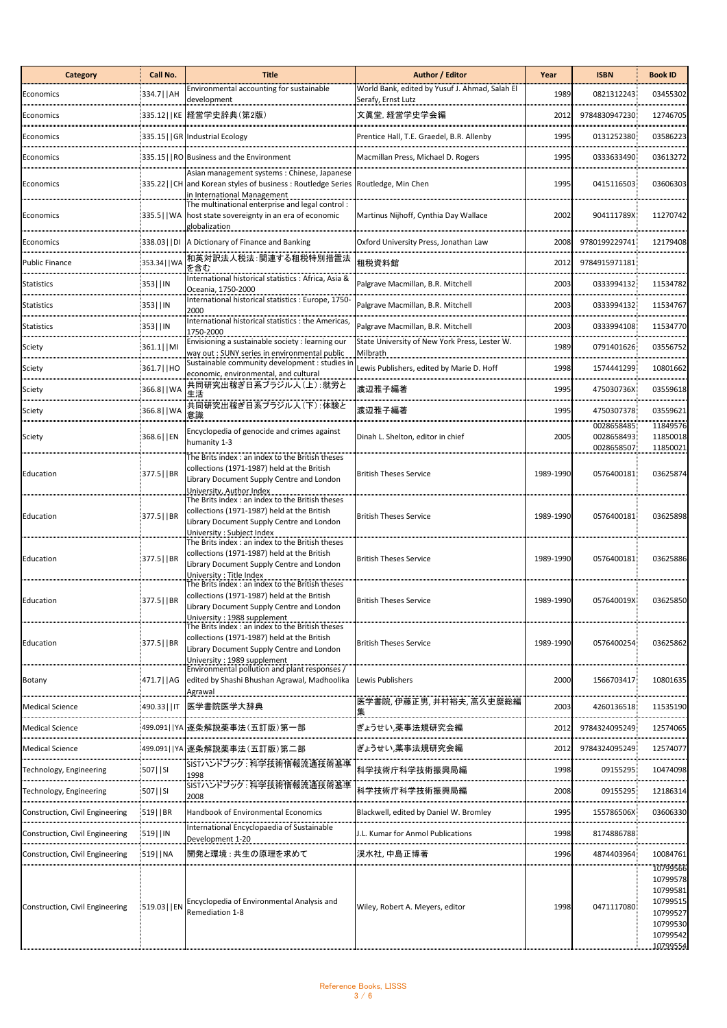| <b>Category</b>                 | Call No.       | <b>Title</b>                                                                                                                                                                | Author / Editor                                                      | Year      | <b>ISBN</b>                            | <b>Book ID</b>                                                                               |
|---------------------------------|----------------|-----------------------------------------------------------------------------------------------------------------------------------------------------------------------------|----------------------------------------------------------------------|-----------|----------------------------------------|----------------------------------------------------------------------------------------------|
| Economics                       | 334.7  AH      | Environmental accounting for sustainable<br>development                                                                                                                     | World Bank, edited by Yusuf J. Ahmad, Salah El<br>Serafy, Ernst Lutz | 1989      | 0821312243                             | 03455302                                                                                     |
| Economics                       |                | 335.12  KE  経営学史辞典(第2版)                                                                                                                                                     | 文眞堂, 経営学史学会編                                                         | 2012      | 9784830947230                          | 12746705                                                                                     |
| Economics                       |                | 335.15   GR Industrial Ecology                                                                                                                                              | Prentice Hall, T.E. Graedel, B.R. Allenby                            | 1995      | 0131252380                             | 03586223                                                                                     |
| Economics                       |                | 335.15   RO Business and the Environment                                                                                                                                    | Macmillan Press, Michael D. Rogers                                   | 1995      | 0333633490                             | 03613272                                                                                     |
| Economics                       |                | Asian management systems: Chinese, Japanese<br>335.22   CH and Korean styles of business: Routledge Series   Routledge, Min Chen<br>in International Management             |                                                                      | 1995      | 0415116503                             | 03606303                                                                                     |
| Economics                       |                | The multinational enterprise and legal control:<br>335.5   WA host state sovereignty in an era of economic<br>globalization                                                 | Martinus Nijhoff, Cynthia Day Wallace                                | 2002      | 904111789X                             | 11270742                                                                                     |
| Economics                       | 338.03     DI  | A Dictionary of Finance and Banking                                                                                                                                         | Oxford University Press, Jonathan Law                                | 2008      | 9780199229741                          | 12179408                                                                                     |
| Public Finance                  | 353.34   WA    | 和英対訳法人税法:関連する租税特別措置法<br>を含む                                                                                                                                                 | 租税資料館                                                                | 2012      | 9784915971181                          |                                                                                              |
| Statistics                      | 353  IN        | International historical statistics : Africa, Asia &<br>Oceania, 1750-2000                                                                                                  | Palgrave Macmillan, B.R. Mitchell                                    | 2003      | 0333994132                             | 11534782                                                                                     |
| Statistics                      | 353  IN        | International historical statistics : Europe, 1750-<br>2000                                                                                                                 | Palgrave Macmillan, B.R. Mitchell                                    | 2003      | 0333994132                             | 11534767                                                                                     |
| Statistics                      | 353  IN        | International historical statistics : the Americas,<br>1750-2000                                                                                                            | Palgrave Macmillan, B.R. Mitchell                                    | 2003      | 0333994108                             | 11534770                                                                                     |
| Sciety                          | 361.1  MI      | Envisioning a sustainable society : learning our<br>way out : SUNY series in environmental public                                                                           | State University of New York Press, Lester W.<br>Milbrath            | 1989      | 0791401626                             | 03556752                                                                                     |
| Sciety                          | 361.7     HO   | Sustainable community development : studies in<br>economic, environmental, and cultural                                                                                     | Lewis Publishers, edited by Marie D. Hoff                            | 1998      | 1574441299                             | 10801662                                                                                     |
| Sciety                          | 366.8     WA   | 共同研究出稼ぎ日系ブラジル人(上):就労と<br>生活                                                                                                                                                 | 渡辺雅子編著                                                               | 1995      | 475030736X                             | 03559618                                                                                     |
| Sciety                          | 366.8     WA   | 共同研究出稼ぎ日系ブラジル人(下):体験と<br>意識                                                                                                                                                 | 渡辺雅子編著                                                               | 1995      | 4750307378                             | 03559621                                                                                     |
| Sciety                          | 368.6     EN   | Encyclopedia of genocide and crimes against<br>humanity 1-3                                                                                                                 | Dinah L. Shelton, editor in chief                                    | 2005      | 0028658485<br>0028658493<br>0028658507 | 11849576<br>11850018<br>11850021                                                             |
| Education                       | 377.5   BR     | The Brits index : an index to the British theses<br>collections (1971-1987) held at the British<br>Library Document Supply Centre and London<br>University, Author Index    | <b>British Theses Service</b>                                        | 1989-1990 | 0576400181                             | 03625874                                                                                     |
| Education                       | 377.5     BR   | The Brits index : an index to the British theses<br>collections (1971-1987) held at the British<br>Library Document Supply Centre and London<br>University : Subject Index  | <b>British Theses Service</b>                                        | 1989-1990 | 0576400181                             | 03625898                                                                                     |
| Education                       | 377.5     BR   | The Brits index : an index to the British theses<br>collections (1971-1987) held at the British<br>Library Document Supply Centre and London<br>University : Title Index    | <b>British Theses Service</b>                                        | 1989-1990 | 0576400181                             | 03625886                                                                                     |
| Education                       | 377.5     BR   | The Brits index : an index to the British theses<br>collections (1971-1987) held at the British<br>Library Document Supply Centre and London<br>University: 1988 supplement | <b>British Theses Service</b>                                        | 1989-1990 | 057640019X                             | 03625850                                                                                     |
| Education                       | 377.5     BR   | The Brits index : an index to the British theses<br>collections (1971-1987) held at the British<br>Library Document Supply Centre and London<br>University: 1989 supplement | <b>British Theses Service</b>                                        | 1989-1990 | 0576400254                             | 03625862                                                                                     |
| Botany                          | 471.7  AG      | Environmental pollution and plant responses /<br>edited by Shashi Bhushan Agrawal, Madhoolika<br>Agrawal                                                                    | Lewis Publishers                                                     | 2000      | 1566703417                             | 10801635                                                                                     |
| <b>Medical Science</b>          | 490.33     IT  | 医学書院医学大辞典                                                                                                                                                                   | 医学書院, 伊藤正男, 井村裕夫, 高久史麿総編                                             | 2003      | 4260136518                             | 11535190                                                                                     |
| <b>Medical Science</b>          |                | 499.091  YA 逐条解説薬事法(五訂版)第一部                                                                                                                                                 | ぎょうせい,薬事法規研究会編                                                       | 2012      | 9784324095249                          | 12574065                                                                                     |
| <b>Medical Science</b>          |                | 499.091  YA 逐条解説薬事法(五訂版)第二部                                                                                                                                                 | ぎょうせい,薬事法規研究会編                                                       | 2012      | 9784324095249                          | 12574077                                                                                     |
| Technology, Engineering         | 507   SI       | SISTハンドブック:科学技術情報流通技術基準<br>1998                                                                                                                                             | 科学技術庁科学技術振興局編                                                        | 1998      | 09155295                               | 10474098                                                                                     |
| Technology, Engineering         | 507   SI       | SISTハンドブック:科学技術情報流通技術基準<br>2008                                                                                                                                             | 科学技術庁科学技術振興局編                                                        | 2008      | 09155295                               | 12186314                                                                                     |
| Construction, Civil Engineering | 519  BR        | Handbook of Environmental Economics                                                                                                                                         | Blackwell, edited by Daniel W. Bromley                               | 1995      | 155786506X                             | 03606330                                                                                     |
| Construction, Civil Engineering | 519  IN        | International Encyclopaedia of Sustainable<br>Development 1-20                                                                                                              | I.L. Kumar for Anmol Publications                                    | 1998      | 8174886788                             |                                                                                              |
| Construction, Civil Engineering | 519  NA        | 開発と環境 : 共生の原理を求めて                                                                                                                                                           | 渓水社, 中島正博著                                                           | 1996      | 4874403964                             | 10084761                                                                                     |
| Construction, Civil Engineering | :519.03     EN | Encyclopedia of Environmental Analysis and<br>Remediation 1-8                                                                                                               | Wiley, Robert A. Meyers, editor                                      | 1998      | 0471117080                             | 10799566<br>10799578<br>10799581<br>10799515<br>10799527<br>10799530<br>10799542<br>10799554 |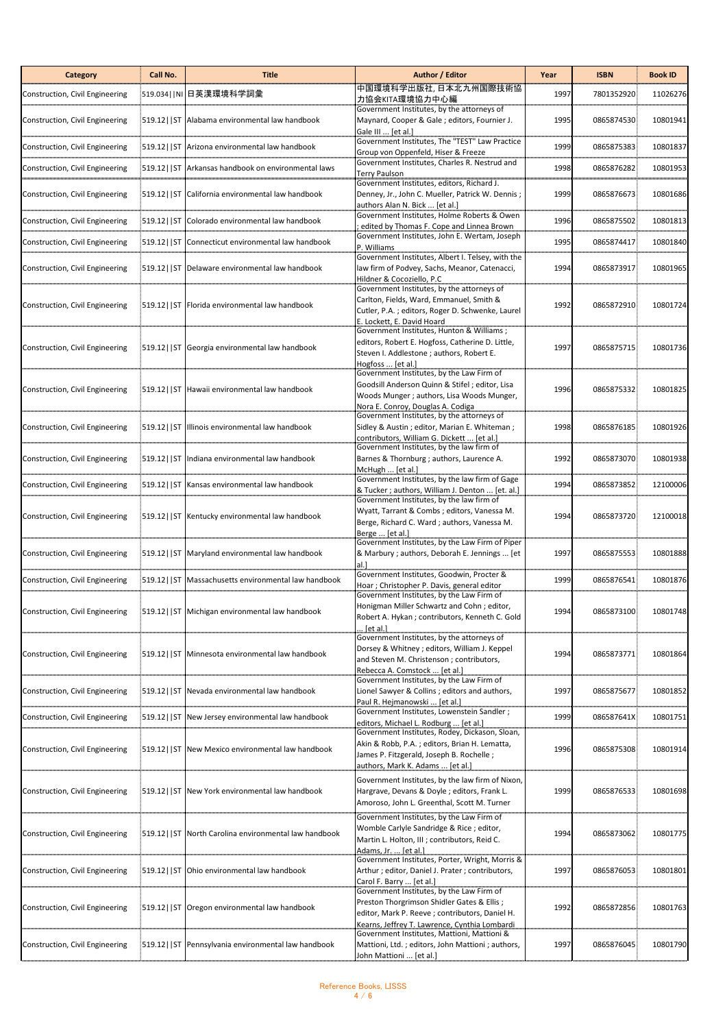| Category                        | Call No.      | Title                                                 | Author / Editor                                                                                                                                                                            | Year | <b>ISBN</b> | <b>Book ID</b> |
|---------------------------------|---------------|-------------------------------------------------------|--------------------------------------------------------------------------------------------------------------------------------------------------------------------------------------------|------|-------------|----------------|
| Construction, Civil Engineering | 519.034   NI  | 日英漢環境科学詞彙                                             | 中国環境科学出版社,日本北九州国際技術協<br>力協会KITA環境協力中心編                                                                                                                                                     | 1997 | 7801352920  | 11026276       |
| Construction, Civil Engineering |               | 519.12   ST Alabama environmental law handbook        | Government Institutes, by the attorneys of<br>Maynard, Cooper & Gale; editors, Fournier J.<br>Gale III  [et al.]                                                                           | 1995 | 0865874530  | 10801941       |
| Construction, Civil Engineering | $519.12$   ST | Arizona environmental law handbook                    | Government Institutes, The "TEST" Law Practice<br>Group von Oppenfeld, Hiser & Freeze                                                                                                      | 1999 | 0865875383  | 10801837       |
| Construction, Civil Engineering | $519.12$   ST | Arkansas handbook on environmental laws               | Government Institutes, Charles R. Nestrud and<br><b>Terry Paulson</b>                                                                                                                      | 1998 | 0865876282  | 10801953       |
| Construction, Civil Engineering | $519.12$   ST | California environmental law handbook                 | Government Institutes, editors, Richard J.<br>Denney, Jr., John C. Mueller, Patrick W. Dennis;<br>authors Alan N. Bick  [et al.]                                                           | 1999 | 0865876673  | 10801686       |
| Construction, Civil Engineering | $ 519.12 $ ST | Colorado environmental law handbook                   | Government Institutes, Holme Roberts & Owen<br>edited by Thomas F. Cope and Linnea Brown                                                                                                   | 1996 | 0865875502  | 10801813       |
| Construction, Civil Engineering | $ 519.12 $ ST | Connecticut environmental law handbook                | Government Institutes, John E. Wertam, Joseph<br>P. Williams                                                                                                                               | 1995 | 0865874417  | 10801840       |
| Construction, Civil Engineering |               | [519.12] ST Delaware environmental law handbook       | Government Institutes, Albert I. Telsey, with the<br>law firm of Podvey, Sachs, Meanor, Catenacci,<br>Hildner & Cocoziello, P.C                                                            | 1994 | 0865873917  | 10801965       |
| Construction, Civil Engineering |               | 519.12   ST   Florida environmental law handbook      | Government Institutes, by the attorneys of<br>Carlton, Fields, Ward, Emmanuel, Smith &<br>Cutler, P.A.; editors, Roger D. Schwenke, Laurel<br>E. Lockett, E. David Hoard                   | 1992 | 0865872910  | 10801724       |
| Construction, Civil Engineering |               | 519.12   ST Georgia environmental law handbook        | Government Institutes, Hunton & Williams ;<br>editors, Robert E. Hogfoss, Catherine D. Little,<br>Steven I. Addlestone ; authors, Robert E.<br>Hogfoss  [et al.]                           | 1997 | 0865875715  | 10801736       |
| Construction, Civil Engineering |               | 519.12   ST Hawaii environmental law handbook         | Government Institutes, by the Law Firm of<br>Goodsill Anderson Quinn & Stifel; editor, Lisa<br>Woods Munger; authors, Lisa Woods Munger,<br>Nora E. Conroy, Douglas A. Codiga              | 1996 | 0865875332  | 10801825       |
| Construction, Civil Engineering |               | 519.12   ST Illinois environmental law handbook       | Government Institutes, by the attorneys of<br>Sidley & Austin; editor, Marian E. Whiteman;<br>contributors, William G. Dickett  [et al.]                                                   | 1998 | 0865876185  | 10801926       |
| Construction, Civil Engineering | 519.12 ST     | Indiana environmental law handbook                    | Government Institutes, by the law firm of<br>Barnes & Thornburg ; authors, Laurence A.<br>McHugh  [et al.]                                                                                 | 1992 | 0865873070  | 10801938       |
| Construction, Civil Engineering | $519.12$   ST | Kansas environmental law handbook                     | Government Institutes, by the law firm of Gage<br>& Tucker ; authors, William J. Denton  [et. al.]                                                                                         | 1994 | 0865873852  | 12100006       |
| Construction, Civil Engineering | $519.12$ ST   | Kentucky environmental law handbook                   | Government Institutes, by the law firm of<br>Wyatt, Tarrant & Combs; editors, Vanessa M.<br>Berge, Richard C. Ward; authors, Vanessa M.                                                    | 1994 | 0865873720  | 12100018       |
| Construction, Civil Engineering |               | 519.12   ST Maryland environmental law handbook       | Berge  [et al.]<br>Government Institutes, by the Law Firm of Piper<br>& Marbury ; authors, Deborah E. Jennings  [et<br>al.]                                                                | 1997 | 0865875553  | 10801888       |
| Construction, Civil Engineering | $519.12$   ST | Massachusetts environmental law handbook              | Government Institutes, Goodwin, Procter &<br>Hoar; Christopher P. Davis, general editor                                                                                                    | 1999 | 0865876541  | 10801876       |
| Construction, Civil Engineering |               | 519.12   ST Michigan environmental law handbook       | Government Institutes, by the Law Firm of<br>Honigman Miller Schwartz and Cohn; editor,<br>Robert A. Hykan ; contributors, Kenneth C. Gold<br>[et al.]                                     | 1994 | 0865873100  | 10801748       |
| Construction, Civil Engineering | 519.12   ST   | Minnesota environmental law handbook                  | Government Institutes, by the attorneys of<br>Dorsey & Whitney ; editors, William J. Keppel<br>and Steven M. Christenson ; contributors,<br>Rebecca A. Comstock  [et al.]                  | 1994 | 0865873771  | 10801864       |
| Construction, Civil Engineering | 519.12   ST   | Nevada environmental law handbook                     | Government Institutes, by the Law Firm of<br>Lionel Sawyer & Collins ; editors and authors,<br>Paul R. Hejmanowski  [et al.]                                                               | 1997 | 0865875677  | 10801852       |
| Construction, Civil Engineering | $519.12$   ST | New Jersey environmental law handbook                 | Government Institutes, Lowenstein Sandler ;<br>editors, Michael L. Rodburg  [et al.]                                                                                                       | 1999 | 086587641X  | 10801751       |
| Construction, Civil Engineering | $519.12$  ST  | New Mexico environmental law handbook                 | Government Institutes, Rodey, Dickason, Sloan,<br>Akin & Robb, P.A.; editors, Brian H. Lematta,<br>James P. Fitzgerald, Joseph B. Rochelle;<br>authors, Mark K. Adams  [et al.]            | 1996 | 0865875308  | 10801914       |
| Construction, Civil Engineering | $519.12$   ST | New York environmental law handbook                   | Government Institutes, by the law firm of Nixon,<br>Hargrave, Devans & Doyle; editors, Frank L.<br>Amoroso, John L. Greenthal, Scott M. Turner                                             | 1999 | 0865876533  | 10801698       |
| Construction, Civil Engineering |               | 519.12   ST North Carolina environmental law handbook | Government Institutes, by the Law Firm of<br>Womble Carlyle Sandridge & Rice; editor,<br>Martin L. Holton, III ; contributors, Reid C.<br>Adams, Jr.  [et al.]                             | 1994 | 0865873062  | 10801775       |
| Construction, Civil Engineering | $519.12$   ST | Ohio environmental law handbook                       | Government Institutes, Porter, Wright, Morris &<br>Arthur; editor, Daniel J. Prater; contributors,<br>Carol F. Barry  [et al.]                                                             | 1997 | 0865876053  | 10801801       |
| Construction, Civil Engineering |               | [519.12] ST Oregon environmental law handbook         | Government Institutes, by the Law Firm of<br>Preston Thorgrimson Shidler Gates & Ellis;<br>editor, Mark P. Reeve; contributors, Daniel H.<br>Kearns, Jeffrey T. Lawrence, Cynthia Lombardi | 1992 | 0865872856  | 10801763       |
| Construction, Civil Engineering |               | 519.12   ST   Pennsylvania environmental law handbook | Government Institutes, Mattioni, Mattioni &<br>Mattioni, Ltd.; editors, John Mattioni; authors,<br><u> John Mattioni  [et al.]</u>                                                         | 1997 | 0865876045  | 10801790       |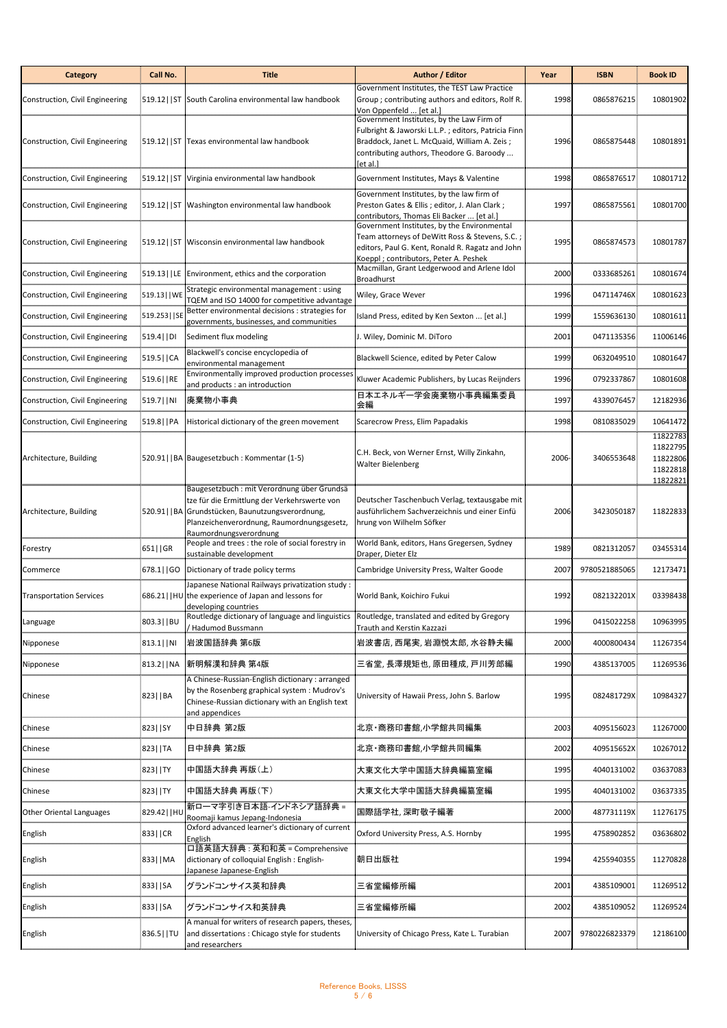| <b>Category</b>                 | Call No.       | <b>Title</b>                                                                                                                                                                                                           | Author / Editor                                                                                                                                                                                          | Year | <b>ISBN</b>    | <b>Book ID</b>                                           |
|---------------------------------|----------------|------------------------------------------------------------------------------------------------------------------------------------------------------------------------------------------------------------------------|----------------------------------------------------------------------------------------------------------------------------------------------------------------------------------------------------------|------|----------------|----------------------------------------------------------|
| Construction, Civil Engineering |                | [519.12] ST South Carolina environmental law handbook                                                                                                                                                                  | Government Institutes, the TEST Law Practice<br>Group ; contributing authors and editors, Rolf R.<br>Von Oppenfeld  [et al.]                                                                             | 1998 | 0865876215     | 10801902                                                 |
| Construction, Civil Engineering |                | :519.12   ST Texas environmental law handbook                                                                                                                                                                          | Government Institutes, by the Law Firm of<br>Fulbright & Jaworski L.L.P.; editors, Patricia Finn<br>Braddock, Janet L. McQuaid, William A. Zeis;<br>contributing authors, Theodore G. Baroody<br>et al 1 | 1996 | 0865875448     | 10801891                                                 |
| Construction, Civil Engineering |                | 519.12   ST   Virginia environmental law handbook                                                                                                                                                                      | Government Institutes, Mays & Valentine                                                                                                                                                                  | 1998 | 0865876517     | 10801712                                                 |
| Construction, Civil Engineering |                | 519.12   ST Washington environmental law handbook                                                                                                                                                                      | Government Institutes, by the law firm of<br>Preston Gates & Ellis; editor, J. Alan Clark;<br>contributors, Thomas Eli Backer  [et al.]                                                                  | 1997 | 0865875561     | 10801700                                                 |
| Construction, Civil Engineering |                | 519.12   ST   Wisconsin environmental law handbook                                                                                                                                                                     | Government Institutes, by the Environmental<br>Team attorneys of DeWitt Ross & Stevens, S.C.;<br>editors, Paul G. Kent, Ronald R. Ragatz and John<br>Koeppl; contributors, Peter A. Peshek               | 1995 | 0865874573     | 10801787                                                 |
| Construction, Civil Engineering | 519.13   LE    | Environment, ethics and the corporation                                                                                                                                                                                | Macmillan, Grant Ledgerwood and Arlene Idol<br><b>Broadhurst</b>                                                                                                                                         | 2000 | 0333685261     | 10801674                                                 |
| Construction, Civil Engineering | :519.13     WE | Strategic environmental management : using<br>TQEM and ISO 14000 for competitive advantage                                                                                                                             | Wiley, Grace Wever                                                                                                                                                                                       | 1996 | 047114746X     | 10801623                                                 |
| Construction, Civil Engineering | 519.253   SE   | Better environmental decisions : strategies for<br>governments, businesses, and communities                                                                                                                            | Island Press, edited by Ken Sexton  [et al.]                                                                                                                                                             | 1999 | 1559636130     | 10801611                                                 |
| Construction, Civil Engineering | 519.4   DI     | Sediment flux modeling                                                                                                                                                                                                 | I. Wiley, Dominic M. DiToro                                                                                                                                                                              | 2001 | 0471135356     | 11006146                                                 |
| Construction, Civil Engineering | 519.5   CA     | Blackwell's concise encyclopedia of<br>environmental management                                                                                                                                                        | Blackwell Science, edited by Peter Calow                                                                                                                                                                 | 1999 | 0632049510     | 10801647                                                 |
| Construction, Civil Engineering | 519.6   RE     | Environmentally improved production processes<br>and products : an introduction                                                                                                                                        | Kluwer Academic Publishers, by Lucas Reijnders                                                                                                                                                           | 1996 | 0792337867     | 10801608                                                 |
| Construction, Civil Engineering | 519.7     NI   | 廃棄物小事典                                                                                                                                                                                                                 | 日本エネルギー学会廃棄物小事典編集委員<br>会編                                                                                                                                                                                | 1997 | 4339076457     | 12182936                                                 |
| Construction, Civil Engineering | 519.8   PA     | Historical dictionary of the green movement                                                                                                                                                                            | Scarecrow Press, Elim Papadakis                                                                                                                                                                          | 1998 | 0810835029     | 10641472                                                 |
| Architecture, Building          |                | 520.91     BA Baugesetzbuch : Kommentar (1-5)                                                                                                                                                                          | C.H. Beck, von Werner Ernst, Willy Zinkahn,<br>Walter Bielenberg                                                                                                                                         | 2006 | 3406553648     | 11822783<br>11822795<br>11822806<br>11822818<br>11822821 |
| Architecture, Building          |                | Baugesetzbuch: mit Verordnung über Grundsä<br>tze für die Ermittlung der Verkehrswerte von<br>520.91   BA Grundstücken, Baunutzungsverordnung,<br>Planzeichenverordnung, Raumordnungsgesetz,<br>Raumordnungsverordnung | Deutscher Taschenbuch Verlag, textausgabe mit<br>ausführlichem Sachverzeichnis und einer Einfü<br>hrung von Wilhelm Söfker                                                                               | 2006 | 3423050187     | 11822833                                                 |
| Forestry                        | 651  GR        | People and trees : the role of social forestry in<br>sustainable development                                                                                                                                           | World Bank, editors, Hans Gregersen, Sydney<br>Draper, Dieter Elz                                                                                                                                        | 1989 | 0821312057     | 03455314                                                 |
| Commerce                        | 678.1  GO      | Dictionary of trade policy terms                                                                                                                                                                                       | Cambridge University Press, Walter Goode                                                                                                                                                                 | 2007 | 9780521885065  | 12173471                                                 |
| <b>Transportation Services</b>  |                | lapanese National Railways privatization study:<br>686.21   HU the experience of Japan and lessons for<br>developing countries                                                                                         | World Bank, Koichiro Fukui                                                                                                                                                                               | 1992 | 082132201X     | 03398438                                                 |
| Language                        | 803.3     BU   | Routledge dictionary of language and linguistics<br><b>Hadumod Bussmann</b>                                                                                                                                            | Routledge, translated and edited by Gregory<br>Trauth and Kerstin Kazzazi                                                                                                                                | 1996 | 0415022258     | 10963995                                                 |
| Nipponese                       | 813.1    NI    | 岩波国語辞典 第6版                                                                                                                                                                                                             | 岩波書店,西尾実,岩淵悦太郎,水谷静夫編                                                                                                                                                                                     | 2000 | 4000800434     | 11267354                                                 |
| Nipponese                       | 813.2   NA     | 新明解漢和辞典 第4版                                                                                                                                                                                                            | 三省堂, 長澤規矩也, 原田種成, 戸川芳郎編                                                                                                                                                                                  | 1990 | 4385137005     | 11269536                                                 |
| Chinese                         | 823   BA       | A Chinese-Russian-English dictionary : arranged<br>by the Rosenberg graphical system: Mudrov's<br>Chinese-Russian dictionary with an English text<br>and appendices                                                    | University of Hawaii Press, John S. Barlow                                                                                                                                                               | 1995 | 082481729X     | 10984327                                                 |
| Chinese                         | 823   SY       | 中日辞典 第2版                                                                                                                                                                                                               | 北京・商務印書館,小学館共同編集                                                                                                                                                                                         | 2003 | 4095156023     | 11267000                                                 |
| Chinese                         | 823   TA       | 日中辞典 第2版                                                                                                                                                                                                               | 北京・商務印書館,小学館共同編集                                                                                                                                                                                         | 2002 | 409515652X     | 10267012                                                 |
| Chinese                         | 823   TY       | 中国語大辞典 再版(上)                                                                                                                                                                                                           | 大東文化大学中国語大辞典編纂室編                                                                                                                                                                                         | 1995 | 4040131002     | 03637083                                                 |
| Chinese                         | 823   TY       | 中国語大辞典 再版(下)                                                                                                                                                                                                           | 大東文化大学中国語大辞典編纂室編                                                                                                                                                                                         | 1995 | 4040131002     | 03637335                                                 |
| Other Oriental Languages        | 829.42     HU  | 新ローマ字引き日本語-インドネシア語辞典=<br>Roomaji kamus Jepang-Indonesia                                                                                                                                                                | 国際語学社, 深町敬子編著                                                                                                                                                                                            | 2000 | 487731119X     | 11276175                                                 |
| English                         | 833  CR        | Oxford advanced learner's dictionary of current<br>English                                                                                                                                                             | Oxford University Press, A.S. Hornby                                                                                                                                                                     | 1995 | 4758902852     | 03636802                                                 |
| English                         | 833   MA       | 口語英語大辞典 : 英和和英 = Comprehensive<br>dictionary of colloquial English : English-<br>apanese Japanese-English                                                                                                              | 朝日出版社                                                                                                                                                                                                    | 1994 | 4255940355     | 11270828                                                 |
| English                         | 833   SA       | グランドコンサイス英和辞典                                                                                                                                                                                                          | 三省堂編修所編                                                                                                                                                                                                  | 2001 | 4385109001     | 11269512                                                 |
| English                         | 833   SA       | グランドコンサイス和英辞典                                                                                                                                                                                                          | 三省堂編修所編                                                                                                                                                                                                  | 2002 | 4385109052     | 11269524                                                 |
| English                         | 836.5     TU   | A manual for writers of research papers, theses,<br>and dissertations : Chicago style for students<br>and researchers                                                                                                  | University of Chicago Press, Kate L. Turabian                                                                                                                                                            | 2007 | 9780226823379. | 12186100                                                 |